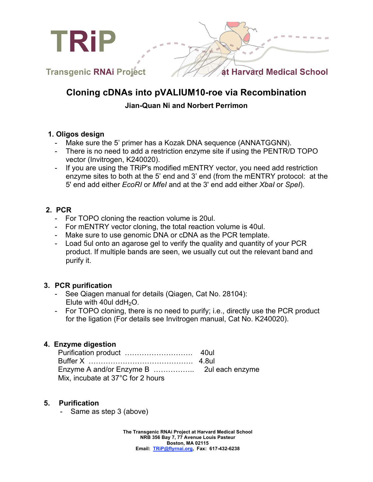

# **Cloning cDNAs into pVALIUM10-roe via Recombination**

## **Jian-Quan Ni and Norbert Perrimon**

#### **1. Oligos design**

- Make sure the 5' primer has a Kozak DNA sequence (ANNATGGNN).
- There is no need to add a restriction enzyme site if using the PENTR/D TOPO vector (Invitrogen, K240020).
- If you are using the TRiP's modified mENTRY vector, you need add restriction enzyme sites to both at the 5' end and 3' end (from the mENTRY protocol: at the 5' end add either *EcoRI* or *MfeI* and at the 3' end add either *XbaI* or *SpeI*).

## **2. PCR**

- For TOPO cloning the reaction volume is 20ul.
- For mENTRY vector cloning, the total reaction volume is 40ul.
- Make sure to use genomic DNA or cDNA as the PCR template.
- Load 5ul onto an agarose gel to verify the quality and quantity of your PCR product. If multiple bands are seen, we usually cut out the relevant band and purify it.

## **3. PCR purification**

- See Qiagen manual for details (Qiagen, Cat No. 28104): Elute with 40ul ddH<sub>2</sub>O.
- For TOPO cloning, there is no need to purify; i.e., directly use the PCR product for the ligation (For details see Invitrogen manual, Cat No. K240020).

#### **4. Enzyme digestion**

| Mix, incubate at 37°C for 2 hours |  |
|-----------------------------------|--|

#### **5. Purification**

Same as step 3 (above)

**The Transgenic RNAi Project at Harvard Medical School NRB 356 Bay 7, 77 Avenue Louis Pasteur Boston, MA 02115 Email: TRiP@flyrnai.org, Fax: 617-432-6238**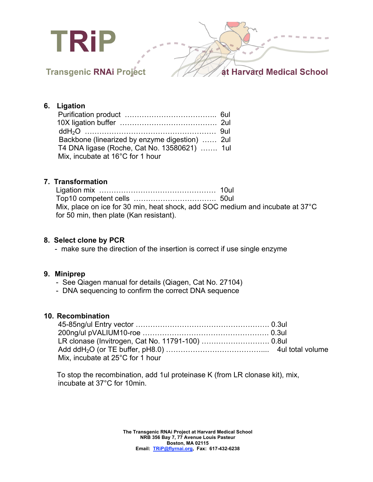

## **6. Ligation**

| Backbone (linearized by enzyme digestion)  2ul |  |
|------------------------------------------------|--|
| T4 DNA ligase (Roche, Cat No. 13580621)  1ul   |  |
| Mix, incubate at 16°C for 1 hour               |  |

## **7. Transformation**

| Mix, place on ice for 30 min, heat shock, add SOC medium and incubate at 37°C |  |
|-------------------------------------------------------------------------------|--|
| for 50 min, then plate (Kan resistant).                                       |  |

### **8. Select clone by PCR**

- make sure the direction of the insertion is correct if use single enzyme

#### **9. Miniprep**

- See Qiagen manual for details (Qiagen, Cat No. 27104)
- DNA sequencing to confirm the correct DNA sequence

#### **10. Recombination**

| Mix, incubate at 25°C for 1 hour |  |
|----------------------------------|--|

To stop the recombination, add 1ul proteinase K (from LR clonase kit), mix, incubate at 37°C for 10min.

> **The Transgenic RNAi Project at Harvard Medical School NRB 356 Bay 7, 77 Avenue Louis Pasteur Boston, MA 02115 Email: TRiP@flyrnai.org, Fax: 617-432-6238**